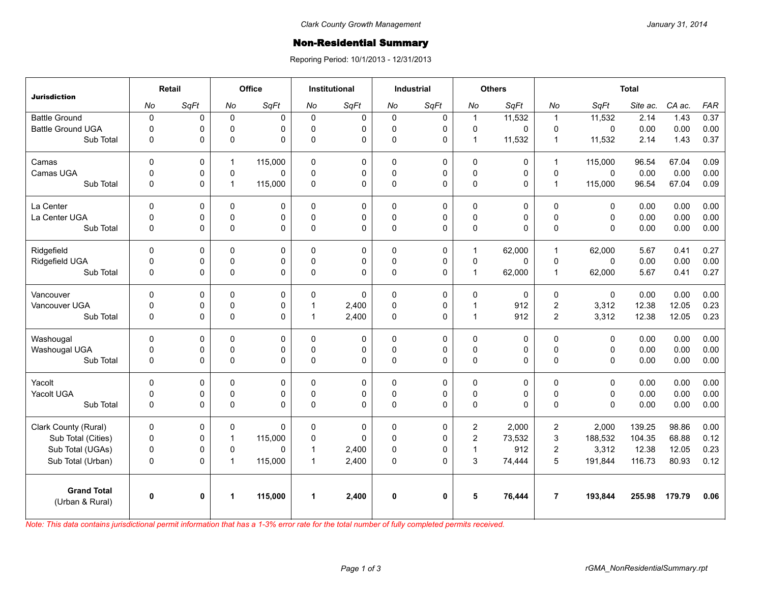## **Non-Residential Summary**

Reporing Period: 10/1/2013 - 12/31/2013

| <b>Jurisdiction</b>                   | Retail       |              | <b>Office</b> |             | <b>Institutional</b> |          | <b>Industrial</b> |              | <b>Others</b>  |          | <b>Total</b>            |              |          |        |            |
|---------------------------------------|--------------|--------------|---------------|-------------|----------------------|----------|-------------------|--------------|----------------|----------|-------------------------|--------------|----------|--------|------------|
|                                       | No           | SqFt         | No            | SqFt        | No                   | SqFt     | No                | SqFt         | No             | SqFt     | No                      | SqFt         | Site ac. | CA ac. | <b>FAR</b> |
| <b>Battle Ground</b>                  | $\pmb{0}$    | 0            | $\mathbf 0$   | $\mathbf 0$ | $\Omega$             | 0        | $\mathbf 0$       | $\mathbf 0$  | $\mathbf{1}$   | 11,532   | $\overline{1}$          | 11,532       | 2.14     | 1.43   | 0.37       |
| <b>Battle Ground UGA</b>              | $\mathbf 0$  | 0            | $\Omega$      | $\Omega$    | $\Omega$             | 0        | 0                 | $\mathbf 0$  | $\mathbf 0$    | 0        | $\Omega$                | $\Omega$     | 0.00     | 0.00   | 0.00       |
| Sub Total                             | $\mathbf 0$  | 0            | 0             | $\Omega$    | $\Omega$             | 0        | 0                 | 0            | $\mathbf{1}$   | 11,532   | $\mathbf{1}$            | 11,532       | 2.14     | 1.43   | 0.37       |
| Camas                                 | $\Omega$     | 0            | $\mathbf{1}$  | 115,000     | $\Omega$             | 0        | $\mathbf{0}$      | $\mathbf 0$  | 0              | 0        | $\mathbf{1}$            | 115,000      | 96.54    | 67.04  | 0.09       |
| Camas UGA                             | $\mathbf 0$  | 0            | 0             | $\Omega$    | $\mathbf 0$          | 0        | 0                 | $\pmb{0}$    | $\pmb{0}$      | 0        | 0                       | $\mathbf 0$  | 0.00     | 0.00   | 0.00       |
| Sub Total                             | $\mathbf 0$  | 0            | $\mathbf{1}$  | 115,000     | $\Omega$             | 0        | 0                 | $\mathbf 0$  | $\mathsf 0$    | 0        | $\overline{1}$          | 115,000      | 96.54    | 67.04  | 0.09       |
| La Center                             | $\Omega$     | 0            | $\Omega$      | $\Omega$    | $\Omega$             | 0        | $\Omega$          | $\Omega$     | $\Omega$       | 0        | $\mathbf{0}$            | $\Omega$     | 0.00     | 0.00   | 0.00       |
| La Center UGA                         | $\mathbf{0}$ | 0            | 0             | 0           | $\mathbf{0}$         | 0        | 0                 | $\mathbf 0$  | 0              | 0        | $\Omega$                | 0            | 0.00     | 0.00   | 0.00       |
| Sub Total                             | $\mathbf 0$  | 0            | $\Omega$      | $\Omega$    | $\Omega$             | 0        | $\Omega$          | $\Omega$     | 0              | $\Omega$ | $\Omega$                | $\Omega$     | 0.00     | 0.00   | 0.00       |
| Ridgefield                            | $\Omega$     | 0            | 0             | $\mathbf 0$ | $\Omega$             | 0        | 0                 | $\mathbf 0$  | $\mathbf{1}$   | 62,000   | $\overline{1}$          | 62,000       | 5.67     | 0.41   | 0.27       |
| Ridgefield UGA                        | $\mathbf 0$  | 0            | 0             | 0           | $\Omega$             | 0        | 0                 | $\pmb{0}$    | $\mathbf 0$    | 0        | $\Omega$                | $\Omega$     | 0.00     | 0.00   | 0.00       |
| Sub Total                             | $\mathbf 0$  | 0            | 0             | $\Omega$    | $\Omega$             | 0        | 0                 | $\mathbf 0$  | $\mathbf{1}$   | 62,000   | $\overline{1}$          | 62,000       | 5.67     | 0.41   | 0.27       |
| Vancouver                             | $\Omega$     | 0            | $\Omega$      | $\mathbf 0$ | $\Omega$             | 0        | 0                 | $\mathbf 0$  | 0              | 0        | $\Omega$                | $\mathbf{0}$ | 0.00     | 0.00   | 0.00       |
| Vancouver UGA                         | $\mathbf 0$  | 0            | 0             | $\pmb{0}$   |                      | 2,400    | 0                 | $\pmb{0}$    | $\mathbf{1}$   | 912      | $\overline{\mathbf{c}}$ | 3,312        | 12.38    | 12.05  | 0.23       |
| Sub Total                             | $\Omega$     | 0            | 0             | $\Omega$    |                      | 2,400    | $\Omega$          | $\Omega$     | $\mathbf{1}$   | 912      | $\overline{2}$          | 3,312        | 12.38    | 12.05  | 0.23       |
| Washougal                             | $\Omega$     | 0            | $\Omega$      | $\Omega$    | $\Omega$             | 0        | $\mathbf{0}$      | $\mathbf 0$  | 0              | 0        | $\Omega$                | $\Omega$     | 0.00     | 0.00   | 0.00       |
| Washougal UGA                         | $\mathbf 0$  | 0            | 0             | $\mathbf 0$ | $\mathbf 0$          | 0        | 0                 | $\pmb{0}$    | $\mathsf 0$    | 0        | 0                       | $\mathbf 0$  | 0.00     | 0.00   | 0.00       |
| Sub Total                             | $\mathbf 0$  | 0            | 0             | $\Omega$    | $\Omega$             | 0        | 0                 | $\Omega$     | 0              | 0        | $\mathbf 0$             | $\Omega$     | 0.00     | 0.00   | 0.00       |
| Yacolt                                | $\mathbf 0$  | 0            | 0             | $\mathbf 0$ | $\Omega$             | 0        | 0                 | $\mathbf 0$  | 0              | 0        | $\mathbf 0$             | 0            | 0.00     | 0.00   | 0.00       |
| Yacolt UGA                            | $\mathbf{0}$ | 0            | 0             | $\mathbf 0$ | $\mathbf{0}$         | 0        | 0                 | $\mathbf 0$  | 0              | 0        | $\Omega$                | $\Omega$     | 0.00     | 0.00   | 0.00       |
| Sub Total                             | 0            | 0            | 0             | $\Omega$    | $\Omega$             | 0        | 0                 | $\mathbf 0$  | 0              | 0        | $\mathbf 0$             | $\Omega$     | 0.00     | 0.00   | 0.00       |
| Clark County (Rural)                  | $\mathbf 0$  | 0            | 0             | $\Omega$    | 0                    | 0        | $\mathbf 0$       | 0            | $\overline{2}$ | 2,000    | $\overline{2}$          | 2,000        | 139.25   | 98.86  | 0.00       |
| Sub Total (Cities)                    | $\mathbf 0$  | 0            | $\mathbf{1}$  | 115,000     | $\Omega$             | $\Omega$ | $\Omega$          | $\pmb{0}$    | $\overline{2}$ | 73,532   | 3                       | 188,532      | 104.35   | 68.88  | 0.12       |
| Sub Total (UGAs)                      | $\mathbf 0$  | 0            | 0             | $\Omega$    | -1                   | 2,400    | 0                 | $\mathbf 0$  | $\mathbf{1}$   | 912      | 2                       | 3,312        | 12.38    | 12.05  | 0.23       |
| Sub Total (Urban)                     | $\mathbf 0$  | 0            | $\mathbf{1}$  | 115,000     | $\mathbf 1$          | 2,400    | 0                 | $\Omega$     | 3              | 74,444   | 5                       | 191,844      | 116.73   | 80.93  | 0.12       |
| <b>Grand Total</b><br>(Urban & Rural) | $\mathbf 0$  | $\mathbf{0}$ | 1             | 115,000     | 1                    | 2,400    | 0                 | $\mathbf{0}$ | 5              | 76,444   | $\overline{7}$          | 193,844      | 255.98   | 179.79 | 0.06       |

*Note: This data contains jurisdictional permit information that has a 1-3% error rate for the total number of fully completed permits received.*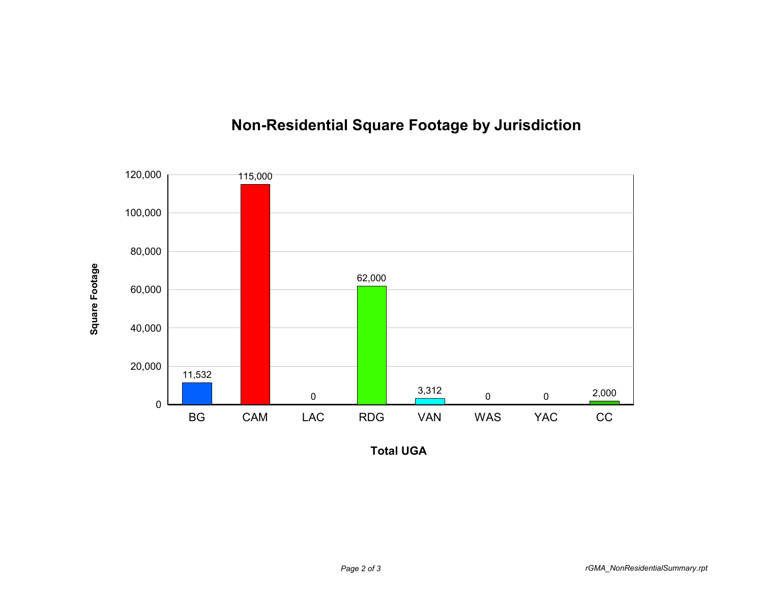

## **Non-Residential Square Footage by Jurisdiction**

**Total UGA**